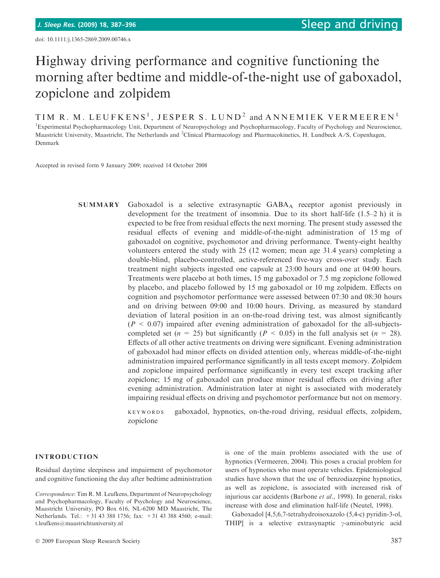# Highway driving performance and cognitive functioning the morning after bedtime and middle-of-the-night use of gaboxadol, zopiclone and zolpidem

TIM R. M. LEUFKENS<sup>1</sup>, JESPER S. LUND<sup>2</sup> and ANNEMIEK VERMEEREN<sup>1</sup>

<sup>1</sup>Experimental Psychopharmacology Unit, Department of Neuropsychology and Psychopharmacology, Faculty of Psychology and Neuroscience, Maastricht University, Maastricht, The Netherlands and <sup>2</sup>Clinical Pharmacology and Pharmacokinetics, H. Lundbeck A/S, Copenhagen, Denmark

Accepted in revised form 9 January 2009; received 14 October 2008

SUMMARY Gaboxadol is a selective extrasynaptic GABAA receptor agonist previously in development for the treatment of insomnia. Due to its short half-life (1.5–2 h) it is expected to be free from residual effects the next morning. The present study assessed the residual effects of evening and middle-of-the-night administration of 15 mg of gaboxadol on cognitive, psychomotor and driving performance. Twenty-eight healthy volunteers entered the study with 25 (12 women; mean age 31.4 years) completing a double-blind, placebo-controlled, active-referenced five-way cross-over study. Each treatment night subjects ingested one capsule at 23:00 hours and one at 04:00 hours. Treatments were placebo at both times, 15 mg gaboxadol or 7.5 mg zopiclone followed by placebo, and placebo followed by 15 mg gaboxadol or 10 mg zolpidem. Effects on cognition and psychomotor performance were assessed between 07:30 and 08:30 hours and on driving between 09:00 and 10:00 hours. Driving, as measured by standard deviation of lateral position in an on-the-road driving test, was almost significantly  $(P < 0.07)$  impaired after evening administration of gaboxadol for the all-subjectscompleted set ( $n = 25$ ) but significantly ( $P < 0.05$ ) in the full analysis set ( $n = 28$ ). Effects of all other active treatments on driving were significant. Evening administration of gaboxadol had minor effects on divided attention only, whereas middle-of-the-night administration impaired performance significantly in all tests except memory. Zolpidem and zopiclone impaired performance significantly in every test except tracking after zopiclone; 15 mg of gaboxadol can produce minor residual effects on driving after evening administration. Administration later at night is associated with moderately impairing residual effects on driving and psychomotor performance but not on memory.

> keywords gaboxadol, hypnotics, on-the-road driving, residual effects, zolpidem, zopiclone

# INTRODUCTION

Residual daytime sleepiness and impairment of psychomotor and cognitive functioning the day after bedtime administration

Correspondence: Tim R. M. Leufkens, Department of Neuropsychology and Psychopharmacology, Faculty of Psychology and Neuroscience, Maastricht University, PO Box 616, NL-6200 MD Maastricht, The Netherlands. Tel.: +31 43 388 1756; fax: +31 43 388 4560; e-mail: t.leufkens@maastrichtuniversity.nl

is one of the main problems associated with the use of hypnotics (Vermeeren, 2004). This poses a crucial problem for users of hypnotics who must operate vehicles. Epidemiological studies have shown that the use of benzodiazepine hypnotics, as well as zopiclone, is associated with increased risk of injurious car accidents (Barbone et al., 1998). In general, risks increase with dose and elimination half-life (Neutel, 1998).

Gaboxadol [4,5,6,7-tetrahydroisoxazolo (5,4-c) pyridin-3-ol, THIP] is a selective extrasynaptic  $\gamma$ -aminobutyric acid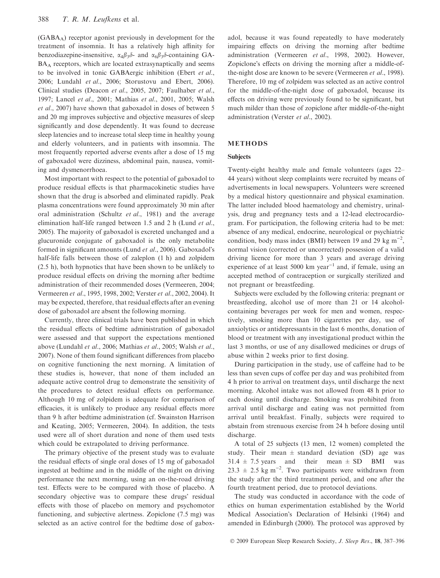(GABAA) receptor agonist previously in development for the treatment of insomnia. It has a relatively high affinity for benzodiazepine-insensitive,  $\alpha_4\beta_3\delta$ - and  $\alpha_6\beta_3\delta$ -containing GA-BA<sub>A</sub> receptors, which are located extrasynaptically and seems to be involved in tonic GABAergic inhibition (Ebert et al., 2006; Lundahl et al., 2006; Storustovu and Ebert, 2006). Clinical studies (Deacon et al., 2005, 2007; Faulhaber et al., 1997; Lancel et al., 2001; Mathias et al., 2001, 2005; Walsh et al., 2007) have shown that gaboxadol in doses of between 5 and 20 mg improves subjective and objective measures of sleep significantly and dose dependently. It was found to decrease sleep latencies and to increase total sleep time in healthy young and elderly volunteers, and in patients with insomnia. The most frequently reported adverse events after a dose of 15 mg of gaboxadol were dizziness, abdominal pain, nausea, vomiting and dysmenorrhoea.

Most important with respect to the potential of gaboxadol to produce residual effects is that pharmacokinetic studies have shown that the drug is absorbed and eliminated rapidly. Peak plasma concentrations were found approximately 30 min after oral administration (Schultz et al., 1981) and the average elimination half-life ranged between 1.5 and 2 h (Lund *et al.*, 2005). The majority of gaboxadol is excreted unchanged and a glucuronide conjugate of gaboxadol is the only metabolite formed in significant amounts (Lund et al., 2006). Gaboxadol's half-life falls between those of zaleplon (1 h) and zolpidem (2.5 h), both hypnotics that have been shown to be unlikely to produce residual effects on driving the morning after bedtime administration of their recommended doses (Vermeeren, 2004; Vermeeren et al., 1995, 1998, 2002; Verster et al., 2002, 2004). It may be expected, therefore, that residual effects after an evening dose of gaboxadol are absent the following morning.

Currently, three clinical trials have been published in which the residual effects of bedtime administration of gaboxadol were assessed and that support the expectations mentioned above (Lundahl et al., 2006; Mathias et al., 2005; Walsh et al., 2007). None of them found significant differences from placebo on cognitive functioning the next morning. A limitation of these studies is, however, that none of them included an adequate active control drug to demonstrate the sensitivity of the procedures to detect residual effects on performance. Although 10 mg of zolpidem is adequate for comparison of efficacies, it is unlikely to produce any residual effects more than 9 h after bedtime administration (cf. Swainston Harrison and Keating, 2005; Vermeeren, 2004). In addition, the tests used were all of short duration and none of them used tests which could be extrapolated to driving performance.

The primary objective of the present study was to evaluate the residual effects of single oral doses of 15 mg of gaboxadol ingested at bedtime and in the middle of the night on driving performance the next morning, using an on-the-road driving test. Effects were to be compared with those of placebo. A secondary objective was to compare these drugs' residual effects with those of placebo on memory and psychomotor functioning, and subjective alertness. Zopiclone (7.5 mg) was selected as an active control for the bedtime dose of gaboxadol, because it was found repeatedly to have moderately impairing effects on driving the morning after bedtime administration (Vermeeren et al., 1998, 2002). However, Zopiclone's effects on driving the morning after a middle-ofthe-night dose are known to be severe (Vermeeren *et al.*, 1998). Therefore, 10 mg of zolpidem was selected as an active control for the middle-of-the-night dose of gaboxadol, because its effects on driving were previously found to be significant, but much milder than those of zopiclone after middle-of-the-night administration (Verster et al., 2002).

## METHODS

## **Subjects**

Twenty-eight healthy male and female volunteers (ages 22– 44 years) without sleep complaints were recruited by means of advertisements in local newspapers. Volunteers were screened by a medical history questionnaire and physical examination. The latter included blood haematology and chemistry, urinalysis, drug and pregnancy tests and a 12-lead electrocardiogram. For participation, the following criteria had to be met: absence of any medical, endocrine, neurological or psychiatric condition, body mass index (BMI) between 19 and 29 kg  $m^{-2}$ , normal vision (corrected or uncorrected) possession of a valid driving licence for more than 3 years and average driving experience of at least 5000 km year<sup>-1</sup> and, if female, using an accepted method of contraception or surgically sterilized and not pregnant or breastfeeding.

Subjects were excluded by the following criteria: pregnant or breastfeeding, alcohol use of more than 21 or 14 alcoholcontaining beverages per week for men and women, respectively, smoking more than 10 cigarettes per day, use of anxiolytics or antidepressants in the last 6 months, donation of blood or treatment with any investigational product within the last 3 months, or use of any disallowed medicines or drugs of abuse within 2 weeks prior to first dosing.

During participation in the study, use of caffeine had to be less than seven cups of coffee per day and was prohibited from 4 h prior to arrival on treatment days, until discharge the next morning. Alcohol intake was not allowed from 48 h prior to each dosing until discharge. Smoking was prohibited from arrival until discharge and eating was not permitted from arrival until breakfast. Finally, subjects were required to abstain from strenuous exercise from 24 h before dosing until discharge.

A total of 25 subjects (13 men, 12 women) completed the study. Their mean  $\pm$  standard deviation (SD) age was  $31.4 \pm 7.5$  years and their mean  $\pm$  SD BMI was  $23.3 \pm 2.5$  kg m<sup>-2</sup>. Two participants were withdrawn from the study after the third treatment period, and one after the fourth treatment period, due to protocol deviations.

The study was conducted in accordance with the code of ethics on human experimentation established by the World Medical Association's Declaration of Helsinki (1964) and amended in Edinburgh (2000). The protocol was approved by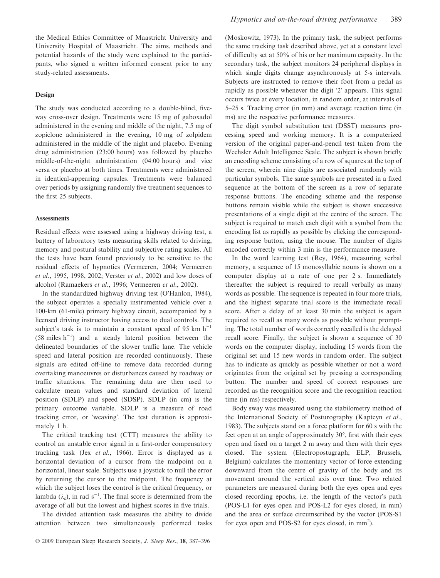the Medical Ethics Committee of Maastricht University and University Hospital of Maastricht. The aims, methods and potential hazards of the study were explained to the participants, who signed a written informed consent prior to any study-related assessments.

## Design

The study was conducted according to a double-blind, fiveway cross-over design. Treatments were 15 mg of gaboxadol administered in the evening and middle of the night, 7.5 mg of zopiclone administered in the evening, 10 mg of zolpidem administered in the middle of the night and placebo. Evening drug administration (23:00 hours) was followed by placebo middle-of-the-night administration (04:00 hours) and vice versa or placebo at both times. Treatments were administered in identical-appearing capsules. Treatments were balanced over periods by assigning randomly five treatment sequences to the first 25 subjects.

#### **Assessments**

Residual effects were assessed using a highway driving test, a battery of laboratory tests measuring skills related to driving, memory and postural stability and subjective rating scales. All the tests have been found previously to be sensitive to the residual effects of hypnotics (Vermeeren, 2004; Vermeeren et al., 1995, 1998, 2002; Verster et al., 2002) and low doses of alcohol (Ramaekers et al., 1996; Vermeeren et al., 2002).

In the standardized highway driving test (O'Hanlon, 1984), the subject operates a specially instrumented vehicle over a 100-km (61-mile) primary highway circuit, accompanied by a licensed driving instructor having access to dual controls. The subject's task is to maintain a constant speed of 95 km  $h^{-1}$  $(58 \text{ miles h}^{-1})$  and a steady lateral position between the delineated boundaries of the slower traffic lane. The vehicle speed and lateral position are recorded continuously. These signals are edited off-line to remove data recorded during overtaking manoeuvres or disturbances caused by roadway or traffic situations. The remaining data are then used to calculate mean values and standard deviation of lateral position (SDLP) and speed (SDSP). SDLP (in cm) is the primary outcome variable. SDLP is a measure of road tracking error, or 'weaving'. The test duration is approximately 1 h.

The critical tracking test (CTT) measures the ability to control an unstable error signal in a first-order compensatory tracking task (Jex et al., 1966). Error is displayed as a horizontal deviation of a cursor from the midpoint on a horizontal, linear scale. Subjects use a joystick to null the error by returning the cursor to the midpoint. The frequency at which the subject loses the control is the critical frequency, or lambda ( $\lambda_c$ ), in rad s<sup>-1</sup>. The final score is determined from the average of all but the lowest and highest scores in five trials.

The divided attention task measures the ability to divide attention between two simultaneously performed tasks

(Moskowitz, 1973). In the primary task, the subject performs the same tracking task described above, yet at a constant level of difficulty set at 50% of his or her maximum capacity. In the secondary task, the subject monitors 24 peripheral displays in which single digits change asynchronously at 5-s intervals. Subjects are instructed to remove their foot from a pedal as rapidly as possible whenever the digit '2' appears. This signal occurs twice at every location, in random order, at intervals of 5–25 s. Tracking error (in mm) and average reaction time (in ms) are the respective performance measures.

The digit symbol substitution test (DSST) measures processing speed and working memory. It is a computerized version of the original paper-and-pencil test taken from the Wechsler Adult Intelligence Scale. The subject is shown briefly an encoding scheme consisting of a row of squares at the top of the screen, wherein nine digits are associated randomly with particular symbols. The same symbols are presented in a fixed sequence at the bottom of the screen as a row of separate response buttons. The encoding scheme and the response buttons remain visible while the subject is shown successive presentations of a single digit at the centre of the screen. The subject is required to match each digit with a symbol from the encoding list as rapidly as possible by clicking the corresponding response button, using the mouse. The number of digits encoded correctly within 3 min is the performance measure.

In the word learning test (Rey, 1964), measuring verbal memory, a sequence of 15 monosyllabic nouns is shown on a computer display at a rate of one per 2 s. Immediately thereafter the subject is required to recall verbally as many words as possible. The sequence is repeated in four more trials, and the highest separate trial score is the immediate recall score. After a delay of at least 30 min the subject is again required to recall as many words as possible without prompting. The total number of words correctly recalled is the delayed recall score. Finally, the subject is shown a sequence of 30 words on the computer display, including 15 words from the original set and 15 new words in random order. The subject has to indicate as quickly as possible whether or not a word originates from the original set by pressing a corresponding button. The number and speed of correct responses are recorded as the recognition score and the recognition reaction time (in ms) respectively.

Body sway was measured using the stabilometry method of the International Society of Posturography (Kapteyn et al., 1983). The subjects stand on a force platform for 60 s with the feet open at an angle of approximately  $30^{\circ}$ , first with their eyes open and fixed on a target 2 m away and then with their eyes closed. The system (Electropostugraph; ELP, Brussels, Belgium) calculates the momentary vector of force extending downward from the centre of gravity of the body and its movement around the vertical axis over time. Two related parameters are measured during both the eyes open and eyes closed recording epochs, i.e. the length of the vector's path (POS-L1 for eyes open and POS-L2 for eyes closed, in mm) and the area or surface circumscribed by the vector (POS-S1 for eyes open and POS-S2 for eyes closed, in mm<sup>2</sup>).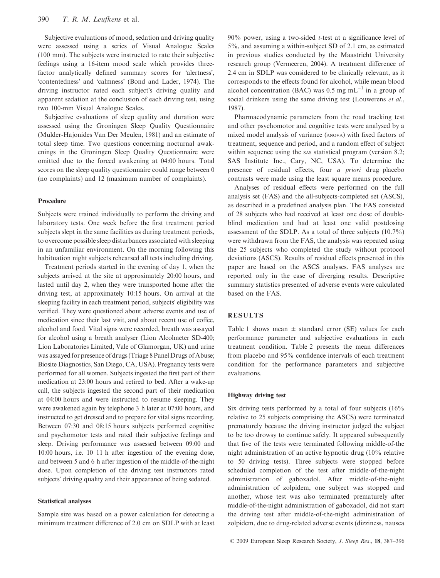Subjective evaluations of mood, sedation and driving quality were assessed using a series of Visual Analogue Scales (100 mm). The subjects were instructed to rate their subjective feelings using a 16-item mood scale which provides threefactor analytically defined summary scores for 'alertness', 'contentedness' and 'calmness' (Bond and Lader, 1974). The driving instructor rated each subject's driving quality and apparent sedation at the conclusion of each driving test, using two 100-mm Visual Analogue Scales.

Subjective evaluations of sleep quality and duration were assessed using the Groningen Sleep Quality Questionnaire (Mulder-Hajonides Van Der Meulen, 1981) and an estimate of total sleep time. Two questions concerning nocturnal awakenings in the Groningen Sleep Quality Questionnaire were omitted due to the forced awakening at 04:00 hours. Total scores on the sleep quality questionnaire could range between 0 (no complaints) and 12 (maximum number of complaints).

## Procedure

Subjects were trained individually to perform the driving and laboratory tests. One week before the first treatment period subjects slept in the same facilities as during treatment periods, to overcome possible sleep disturbances associated with sleeping in an unfamiliar environment. On the morning following this habituation night subjects rehearsed all tests including driving.

Treatment periods started in the evening of day 1, when the subjects arrived at the site at approximately 20:00 hours, and lasted until day 2, when they were transported home after the driving test, at approximately 10:15 hours. On arrival at the sleeping facility in each treatment period, subjects' eligibility was verified. They were questioned about adverse events and use of medication since their last visit, and about recent use of coffee, alcohol and food. Vital signs were recorded, breath was assayed for alcohol using a breath analyser (Lion Alcolmeter SD-400; Lion Laboratories Limited, Vale of Glamorgan, UK) and urine was assayed for presence of drugs (Triage 8 Panel Drugs of Abuse; Biosite Diagnostics, San Diego, CA, USA). Pregnancy tests were performed for all women. Subjects ingested the first part of their medication at 23:00 hours and retired to bed. After a wake-up call, the subjects ingested the second part of their medication at 04:00 hours and were instructed to resume sleeping. They were awakened again by telephone 3 h later at 07:00 hours, and instructed to get dressed and to prepare for vital signs recording. Between 07:30 and 08:15 hours subjects performed cognitive and psychomotor tests and rated their subjective feelings and sleep. Driving performance was assessed between 09:00 and 10:00 hours, i.e. 10–11 h after ingestion of the evening dose, and between 5 and 6 h after ingestion of the middle-of-the-night dose. Upon completion of the driving test instructors rated subjects' driving quality and their appearance of being sedated.

## Statistical analyses

Sample size was based on a power calculation for detecting a minimum treatment difference of 2.0 cm on SDLP with at least 90% power, using a two-sided t-test at a significance level of 5%, and assuming a within-subject SD of 2.1 cm, as estimated in previous studies conducted by the Maastricht University research group (Vermeeren, 2004). A treatment difference of 2.4 cm in SDLP was considered to be clinically relevant, as it corresponds to the effects found for alcohol, while mean blood alcohol concentration (BAC) was 0.5 mg mL<sup> $-1$ </sup> in a group of social drinkers using the same driving test (Louwerens *et al.*, 1987).

Pharmacodynamic parameters from the road tracking test and other psychomotor and cognitive tests were analysed by a mixed model analysis of variance (anova) with fixed factors of treatment, sequence and period, and a random effect of subject within sequence using the sas statistical program (version 8.2; SAS Institute Inc., Cary, NC, USA). To determine the presence of residual effects, four a priori drug–placebo contrasts were made using the least square means procedure.

Analyses of residual effects were performed on the full analysis set (FAS) and the all-subjects-completed set (ASCS), as described in a predefined analysis plan. The FAS consisted of 28 subjects who had received at least one dose of doubleblind medication and had at least one valid postdosing assessment of the SDLP. As a total of three subjects (10.7%) were withdrawn from the FAS, the analysis was repeated using the 25 subjects who completed the study without protocol deviations (ASCS). Results of residual effects presented in this paper are based on the ASCS analyses. FAS analyses are reported only in the case of diverging results. Descriptive summary statistics presented of adverse events were calculated based on the FAS.

# RESULTS

Table 1 shows mean  $\pm$  standard error (SE) values for each performance parameter and subjective evaluations in each treatment condition. Table 2 presents the mean differences from placebo and 95% confidence intervals of each treatment condition for the performance parameters and subjective evaluations.

#### Highway driving test

Six driving tests performed by a total of four subjects (16% relative to 25 subjects comprising the ASCS) were terminated prematurely because the driving instructor judged the subject to be too drowsy to continue safely. It appeared subsequently that five of the tests were terminated following middle-of-the night administration of an active hypnotic drug (10% relative to 50 driving tests). Three subjects were stopped before scheduled completion of the test after middle-of-the-night administration of gaboxadol. After middle-of-the-night administration of zolpidem, one subject was stopped and another, whose test was also terminated prematurely after middle-of-the-night administration of gaboxadol, did not start the driving test after middle-of-the-night administration of zolpidem, due to drug-related adverse events (dizziness, nausea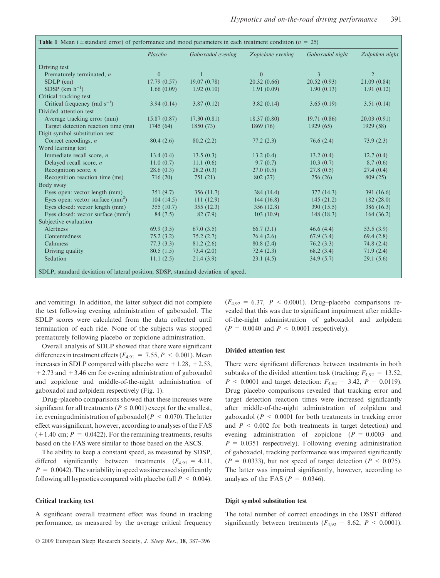|                                     | Placebo     | Gaboxadol evening | Zopiclone evening | Gaboxadol night | Zolpidem night |
|-------------------------------------|-------------|-------------------|-------------------|-----------------|----------------|
| Driving test                        |             |                   |                   |                 |                |
| Prematurely terminated, n           | $\theta$    |                   | $\overline{0}$    | 3               | $\overline{2}$ |
| $SDLP$ (cm)                         | 17.79(0.57) | 19.07(0.78)       | 20.32(0.66)       | 20.52(0.93)     | 21.09(0.84)    |
| SDSP $(km h^{-1})$                  | 1.66(0.09)  | 1.92(0.10)        | 1.91(0.09)        | 1.90(0.13)      | 1.91(0.12)     |
| Critical tracking test              |             |                   |                   |                 |                |
| Critical frequency (rad $s^{-1}$ )  | 3.94(0.14)  | 3.87(0.12)        | 3.82(0.14)        | 3.65(0.19)      | 3.51(0.14)     |
| Divided attention test              |             |                   |                   |                 |                |
| Average tracking error (mm)         | 15.87(0.87) | 17.30(0.81)       | 18.37(0.80)       | 19.71(0.86)     | 20.03(0.91)    |
| Target detection reaction time (ms) | 1745(64)    | 1850(73)          | 1869(76)          | 1929(65)        | 1929(58)       |
| Digit symbol substitution test      |             |                   |                   |                 |                |
| Correct encodings, $n$              | 80.4(2.6)   | 80.2(2.2)         | 77.2(2.3)         | 76.6(2.4)       | 73.9(2.3)      |
| Word learning test                  |             |                   |                   |                 |                |
| Immediate recall score, $n$         | 13.4(0.4)   | 13.5(0.3)         | 13.2(0.4)         | 13.2(0.4)       | 12.7(0.4)      |
| Delayed recall score, $n$           | 11.0(0.7)   | 11.1(0.6)         | 9.7(0.7)          | 10.3(0.7)       | 8.7(0.6)       |
| Recognition score, $n$              | 28.6(0.3)   | 28.2(0.3)         | 27.0(0.5)         | 27.8(0.5)       | 27.4(0.4)      |
| Recognition reaction time (ms)      | 716(20)     | 751(21)           | 802(27)           | 756 (26)        | 809 (25)       |
| Body sway                           |             |                   |                   |                 |                |
| Eyes open: vector length (mm)       | 351(9.7)    | 356(11.7)         | 384 (14.4)        | 377(14.3)       | 391 (16.6)     |
| Eyes open: vector surface $(mm2)$   | 104(14.5)   | 111(12.9)         | 144(16.8)         | 145(21.2)       | 182(28.0)      |
| Eyes closed: vector length (mm)     | 355(10.7)   | 355(12.3)         | 356(12.8)         | 390(15.5)       | 386 (16.3)     |
| Eyes closed: vector surface $(mm2)$ | 84(7.5)     | 82(7.9)           | 103(10.9)         | 148(18.3)       | 164(36.2)      |
| Subjective evaluation               |             |                   |                   |                 |                |
| Alertness                           | 69.9(3.5)   | 67.0(3.5)         | 66.7(3.1)         | 46.6(4.4)       | 53.5 $(3.9)$   |
| Contentedness                       | 75.2(3.2)   | 75.2(2.7)         | 76.4(2.6)         | 67.9(3.4)       | 69.4(2.8)      |
| Calmness                            | 77.3(3.3)   | 81.2(2.6)         | 80.8(2.4)         | 76.2(3.3)       | 74.8(2.4)      |
| Driving quality                     | 80.5(1.5)   | 73.4(2.0)         | 72.4(2.3)         | 68.2(3.4)       | 71.9(2.4)      |
| Sedation                            | 11.1(2.5)   | 21.4(3.9)         | 23.1(4.5)         | 34.9(5.7)       | 29.1(5.6)      |

and vomiting). In addition, the latter subject did not complete the test following evening administration of gaboxadol. The SDLP scores were calculated from the data collected until termination of each ride. None of the subjects was stopped prematurely following placebo or zopiclone administration.

Overall analysis of SDLP showed that there were significant differences in treatment effects ( $F_{4,91} = 7.55, P \le 0.001$ ). Mean increases in SDLP compared with placebo were  $+1.28$ ,  $+2.53$ ,  $+2.73$  and  $+3.46$  cm for evening administration of gaboxadol and zopiclone and middle-of-the-night administration of gaboxadol and zolpidem respectively (Fig. 1).

Drug–placebo comparisons showed that these increases were significant for all treatments ( $P \le 0.001$ ) except for the smallest, i.e. evening administration of gaboxadol ( $P < 0.070$ ). The latter effect was significant, however, according to analyses of the FAS  $(+1.40 \text{ cm}; P = 0.0422)$ . For the remaining treatments, results based on the FAS were similar to those based on the ASCS.

The ability to keep a constant speed, as measured by SDSP, differed significantly between treatments  $(F_{4,91} = 4.11,$  $P = 0.0042$ . The variability in speed was increased significantly following all hypnotics compared with placebo (all  $P < 0.004$ ).

## Critical tracking test

A significant overall treatment effect was found in tracking performance, as measured by the average critical frequency  $(F_{4,92} = 6.37, P < 0.0001)$ . Drug-placebo comparisons revealed that this was due to significant impairment after middleof-the-night administration of gaboxadol and zolpidem  $(P = 0.0040$  and  $P < 0.0001$  respectively).

#### Divided attention test

There were significant differences between treatments in both subtasks of the divided attention task (tracking:  $F_{4,92} = 13.52$ ,  $P < 0.0001$  and target detection:  $F_{4,92} = 3.42$ ,  $P = 0.0119$ ). Drug–placebo comparisons revealed that tracking error and target detection reaction times were increased significantly after middle-of-the-night administration of zolpidem and gaboxadol ( $P < 0.0001$  for both treatments in tracking error and  $P < 0.002$  for both treatments in target detection) and evening administration of zopiclone  $(P = 0.0003$  and  $P = 0.0351$  respectively). Following evening administration of gaboxadol, tracking performance was impaired significantly  $(P = 0.0333)$ , but not speed of target detection  $(P \le 0.075)$ . The latter was impaired significantly, however, according to analyses of the FAS ( $P = 0.0346$ ).

## Digit symbol substitution test

The total number of correct encodings in the DSST differed significantly between treatments ( $F_{4,92} = 8.62$ ,  $P < 0.0001$ ).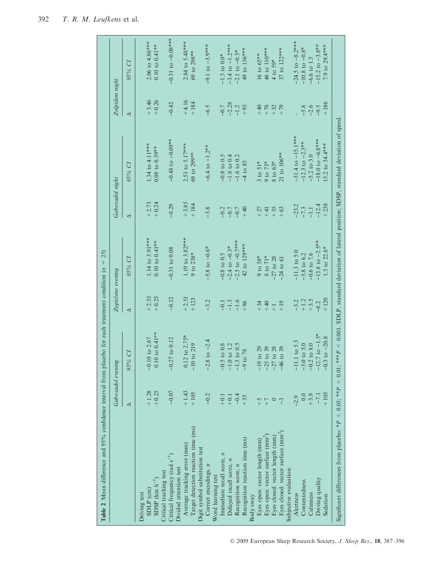| 392 T. R. M. Leufkens et al. |
|------------------------------|
|                              |

|                                                                                                                                                                        | Gaboxadol evening |                           | Zopiclone evening |                      | Gaboxadol night |                              | Zolpidem night |                        |
|------------------------------------------------------------------------------------------------------------------------------------------------------------------------|-------------------|---------------------------|-------------------|----------------------|-----------------|------------------------------|----------------|------------------------|
|                                                                                                                                                                        | ◁                 | 95% CI                    | ◁                 | 95% CI               | ◁               | 95% CI                       | ◁              | 95% CI                 |
| Driving test                                                                                                                                                           |                   |                           |                   |                      |                 |                              |                |                        |
| SDLP (cm)                                                                                                                                                              | $+1.28$           | $-0.10$ to $2.67$         | $+2.53$           | $1.14$ to 3.91***    | $+2.73$         | $1.34$ to $4.11***$          | $+3.46$        | $2.06$ to $4.86***$    |
| $SDSP$ (km $h^{-1}$ )                                                                                                                                                  | $+0.25$           | $0.10 \text{ to } 0.41**$ | $+0.25$           | $0.10$ to $0.41**$   | $+0.24$         | $0.08$ to $0.39**$           | $+0.26$        | $0.10$ to $0.41**$     |
| Critical tracking test                                                                                                                                                 |                   |                           |                   |                      |                 |                              |                |                        |
| Critical frequency (rad s <sup>-1</sup> )                                                                                                                              | $-0.07$           | $-0.27$ to $0.12$         | $-0.12$           | $-0.31$ to $0.08$    | $-0.29$         | $-0.48$ to $-0.09**$         | $-0.42$        | $-0.31$ to $-0.08***$  |
| Divided attention test                                                                                                                                                 |                   |                           |                   |                      |                 |                              |                |                        |
| Average tracking error (mm)                                                                                                                                            | $+1.43$           | $0.12$ to $2.75*$         | $+2.51$           | 1.19 to 3.82***      | $+3.85$         | 2.53 to 5.17***              | $+4.16$        | 2.84 to 5.48***        |
| Target detection reaction time (ms)                                                                                                                                    | $+105$            | $-10$ to 219              | $+123$            | $9 to 238*$          | $+184$          | 69 to 299**                  | $+184$         | 69 to 298**            |
| Digit symbol substitution test                                                                                                                                         |                   |                           |                   |                      |                 |                              |                |                        |
| Correct encodings, n                                                                                                                                                   | $-0.2$            | $-2.8 \text{ to } -2.4$   | $-3.2$            | $-5.8$ to $-0.6*$    | $-3.8$          | $-6.4$ to $-1.2**$           | $-6.5$         | $-9.1$ to $-3.9***$    |
| Word learning test                                                                                                                                                     |                   |                           |                   |                      |                 |                              |                |                        |
| Immediate recall score, n                                                                                                                                              | $+0.1$            | $-0.5$ to $0.8$           | $-0.1$            | $-0.8$ to 0.5        | $-0.2$          | $-0.8$ to 0.5                | $-0.7$         | $-1.3$ to 0.0*         |
| $\overline{z}$<br>Delayed recall score,                                                                                                                                | $-1$              | $-1.0 \text{ to } 1.2$    | $-1.3$            | $-2.4$ to $-0.3*$    | $-0.7$          | $-1.8$ to 0.4                | $-2.28$        | $-3.4$ to $-1.2***$    |
| Recognition score, n                                                                                                                                                   | $-0.4$            | $-1.3$ to 0.5             | $-1.6$            | $-2.5$ to $-0.7***$  | $-0.7$          | $-1.6$ to 0.2                | $-1.2$         | $-2.1$ to $-0.3*$      |
| Recognition reaction time (ms)                                                                                                                                         | $+35$             | $-9$ to 78                | $+86$             | 42 to 129***         | $+40$           | $-4$ to 83                   | $+93$          | 49 to 136***           |
| Body sway                                                                                                                                                              |                   |                           |                   |                      |                 |                              |                |                        |
| Eyes open: vector length (mm)                                                                                                                                          | $\widetilde{C}$   | $-19$ to 29               | $+34$             | $9 to 58*$           | $+27$           | $3$ to $51*$                 | $+40$          | $16 \text{ to } 65***$ |
| Eyes open: vector surface (mm <sup>2</sup> )                                                                                                                           | $+7$              | $-25$ to 39               | $+40$             | 8 to 71*             | $+41$           | $9 to 73*$                   | $+78$          | 46 to 110***           |
| Eyes closed: vector length (mm)                                                                                                                                        |                   | $-27$ to $28$             | $\overline{+}$    | $-27$ to 28          | $+35$           | 8 to 63*                     | $+32$          | $4$ to 59*             |
| Eyes closed: vector surface (mm <sup>2</sup> )                                                                                                                         | $-3$              | $-46$ to 39               | $+19$             | $-24$ to 61          | $+63$           | 21 to 106**                  | $+79$          | 37 to 122***           |
| Subjective evaluation                                                                                                                                                  |                   |                           |                   |                      |                 |                              |                |                        |
| Alertness                                                                                                                                                              | $-2.9$            | $-11.1$ to 5.3            | $-3.2$            | $-11.3$ to 5.0       | $-23.2$         | $-31.4 \text{ to } -15.1***$ |                | $-24.5$ to $-8.2***$   |
| Contentedness                                                                                                                                                          | 0.0               | $-5.0$ to 5.0             | $+1.2$            | $-3.8$ to 6.2        | $-7.3$          | $-12.3$ to $-2.3***$         | $-5.8$         | $-10.8$ to $-0.8*$     |
| Calmness                                                                                                                                                               | $+3.9$            | $-0.2$ to $8.0$           | $+3.5$            | $-0.6$ to 7.6        | $\overline{11}$ | $-5.2$ to 3.0                | $-2.6$         | $-6.6$ to 1.5          |
| Driving quality                                                                                                                                                        | $-7.1$            | $-12.7$ to $-1.5*$        | $-8.2$            | $-13.8$ to $-2.5***$ | $-12.4$         | $-18.0$ to $-6.8***$         | $-9.5$         | $-15.2$ to $-3.8**$    |
| Sedation                                                                                                                                                               | $+103$            | $-0.3$ to $-20.8$         | $+120$            | 1.5 to 22.6*         | $+238$          | $13.2 \text{ to } 34.4***$   | $+186$         | 7.9 to 29.4***         |
| Significant differences from placebo: * $P < 0.05$ ; ** $P < 0.01$ ; *** $P < 0.001$ . SDLP, standard deviation of lateral position; SDSP, standard deviation of speed |                   |                           |                   |                      |                 |                              |                |                        |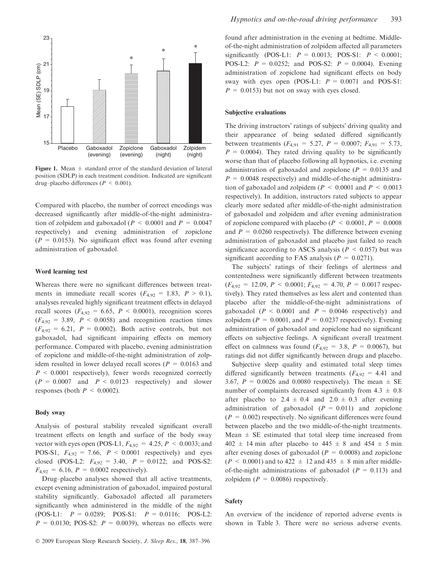

Figure 1. Mean  $\pm$  standard error of the standard deviation of lateral position (SDLP) in each treatment condition. Indicated are significant drug–placebo differences ( $P < 0.001$ ).

Compared with placebo, the number of correct encodings was decreased significantly after middle-of-the-night administration of zolpidem and gaboxadol ( $P < 0.0001$  and  $P = 0.0047$ respectively) and evening administration of zopiclone  $(P = 0.0153)$ . No significant effect was found after evening administration of gaboxadol.

#### Word learning test

Whereas there were no significant differences between treatments in immediate recall scores  $(F_{4.92} = 1.83, P > 0.1)$ , analyses revealed highly significant treatment effects in delayed recall scores  $(F_{4.92} = 6.65, P \le 0.0001)$ , recognition scores  $(F_{4,92} = 3.89, P \le 0.0058)$  and recognition reaction times  $(F_{4.92} = 6.21, P = 0.0002)$ . Both active controls, but not gaboxadol, had significant impairing effects on memory performance. Compared with placebo, evening administration of zopiclone and middle-of-the-night administration of zolpidem resulted in lower delayed recall scores ( $P = 0.0163$  and  $P \leq 0.0001$  respectively), fewer words recognized correctly  $(P = 0.0007$  and  $P < 0.0123$  respectively) and slower responses (both  $P \leq 0.0002$ ).

## Body sway

Analysis of postural stability revealed significant overall treatment effects on length and surface of the body sway vector with eyes open (POS-L1,  $F_{4,92} = 4.25, P \le 0.0033$ ; and POS-S1,  $F_{4.92} = 7.66$ ,  $P < 0.0001$  respectively) and eyes closed (POS-L2:  $F_{4,92} = 3.40$ ,  $P = 0.0122$ ; and POS-S2:  $F_{4,92} = 6.16, P = 0.0002$  respectively).

Drug–placebo analyses showed that all active treatments, except evening administration of gaboxadol, impaired postural stability significantly. Gaboxadol affected all parameters significantly when administered in the middle of the night (POS-L1:  $P = 0.0289$ ; POS-S1:  $P = 0.0116$ ; POS-L2:  $P = 0.0130$ ; POS-S2:  $P = 0.0039$ ), whereas no effects were found after administration in the evening at bedtime. Middleof-the-night administration of zolpidem affected all parameters significantly (POS-L1:  $P = 0.0013$ ; POS-S1:  $P < 0.0001$ ; POS-L2:  $P = 0.0252$ ; and POS-S2:  $P = 0.0004$ ). Evening administration of zopiclone had significant effects on body sway with eyes open (POS-L1:  $P = 0.0071$  and POS-S1:  $P = 0.0153$  but not on sway with eyes closed.

## Subjective evaluations

The driving instructors' ratings of subjects' driving quality and their appearance of being sedated differed significantly between treatments ( $F_{4,91} = 5.27$ ,  $P = 0.0007$ ;  $F_{4,91} = 5.73$ ,  $P = 0.0004$ . They rated driving quality to be significantly worse than that of placebo following all hypnotics, i.e. evening administration of gaboxadol and zopiclone ( $P = 0.0135$  and  $P = 0.0048$  respectively) and middle-of-the-night administration of gaboxadol and zolpidem ( $P < 0.0001$  and  $P < 0.0013$ respectively). In addition, instructors rated subjects to appear clearly more sedated after middle-of-the-night administration of gaboxadol and zolpidem and after evening administration of zopiclone compared with placebo ( $P < 0.0001$ ,  $P = 0.0008$ ) and  $P = 0.0260$  respectively). The difference between evening administration of gaboxadol and placebo just failed to reach significance according to ASCS analysis ( $P < 0.057$ ) but was significant according to FAS analysis ( $P = 0.0271$ ).

The subjects' ratings of their feelings of alertness and contentedness were significantly different between treatments  $(F_{4.92} = 12.09, P < 0.0001; F_{4.92} = 4.70, P = 0.0017$  respectively). They rated themselves as less alert and contented than placebo after the middle-of-the-night administrations of gaboxadol ( $P < 0.0001$  and  $P = 0.0046$  respectively) and zolpidem ( $P = 0.0001$ , and  $P = 0.0237$  respectively). Evening administration of gaboxadol and zopiclone had no significant effects on subjective feelings. A significant overall treatment effect on calmness was found ( $F_{4,92} = 3.8$ ,  $P = 0.0067$ ), but ratings did not differ significantly between drugs and placebo.

Subjective sleep quality and estimated total sleep times differed significantly between treatments  $(F_{4,92} = 4.41$  and 3.67,  $P = 0.0026$  and 0.0080 respectively). The mean  $\pm$  SE number of complaints decreased significantly from  $4.3 \pm 0.8$ after placebo to 2.4  $\pm$  0.4 and 2.0  $\pm$  0.3 after evening administration of gaboxadol  $(P = 0.011)$  and zopiclone  $(P = 0.002)$  respectively. No significant differences were found between placebo and the two middle-of-the-night treatments. Mean  $\pm$  SE estimated that total sleep time increased from  $402 \pm 14$  min after placebo to  $445 \pm 8$  and  $454 \pm 5$  min after evening doses of gaboxadol ( $P = 0.0008$ ) and zopiclone  $(P < 0.0001)$  and to 422  $\pm$  12 and 435  $\pm$  8 min after middleof-the-night administrations of gaboxadol ( $P = 0.113$ ) and zolpidem ( $P = 0.0086$ ) respectively.

#### Safety

An overview of the incidence of reported adverse events is shown in Table 3. There were no serious adverse events.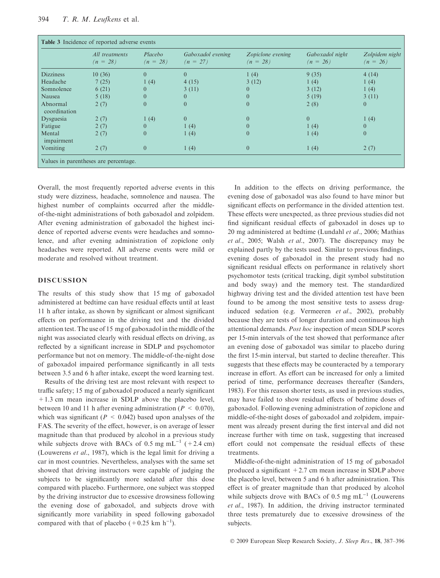| Table 3 Incidence of reported adverse events |                              |                       |                                 |                                 |                               |                              |  |
|----------------------------------------------|------------------------------|-----------------------|---------------------------------|---------------------------------|-------------------------------|------------------------------|--|
|                                              | All treatments<br>$(n = 28)$ | Placebo<br>$(n = 28)$ | Gaboxadol evening<br>$(n = 27)$ | Zopiclone evening<br>$(n = 28)$ | Gaboxadol night<br>$(n = 26)$ | Zolpidem night<br>$(n = 26)$ |  |
| <b>Dizziness</b>                             | 10(36)                       | $\theta$              | $\theta$                        | 1(4)                            | 9(35)                         | 4(14)                        |  |
| Headache                                     | 7(25)                        | 1(4)                  | 4(15)                           | 3(12)                           | 1(4)                          | 1(4)                         |  |
| Somnolence                                   | 6(21)                        | $\theta$              | 3(11)                           | $\left( \right)$                | 3(12)                         | 1(4)                         |  |
| Nausea                                       | 5(18)                        | $\theta$              | $\Omega$                        | $\theta$                        | 5(19)                         | 3(11)                        |  |
| Abnormal<br>coordination                     | 2(7)                         | $\theta$              | $\Omega$                        | $\Omega$                        | 2(8)                          | $\left( \right)$             |  |
| <b>Dysguesia</b>                             | 2(7)                         | 1(4)                  | $\Omega$                        | $\theta$                        | $\Omega$                      | 1(4)                         |  |
| Fatigue                                      | 2(7)                         | $\left( \right)$      | 1(4)                            | $\left( \right)$                | 1(4)                          | $\left( \right)$             |  |
| Mental<br>impairment                         | 2(7)                         | $\Omega$              | 1(4)                            | $\theta$                        | 1(4)                          | $\Omega$                     |  |
| Vomiting                                     | 2(7)                         | $\theta$              | 1(4)                            | $\overline{0}$                  | 1(4)                          | 2(7)                         |  |
| Values in parentheses are percentage.        |                              |                       |                                 |                                 |                               |                              |  |

Overall, the most frequently reported adverse events in this study were dizziness, headache, somnolence and nausea. The highest number of complaints occurred after the middleof-the-night administrations of both gaboxadol and zolpidem. After evening administration of gaboxadol the highest incidence of reported adverse events were headaches and somnolence, and after evening administration of zopiclone only headaches were reported. All adverse events were mild or moderate and resolved without treatment.

# DISCUSSION

The results of this study show that 15 mg of gaboxadol administered at bedtime can have residual effects until at least 11 h after intake, as shown by significant or almost significant effects on performance in the driving test and the divided attention test. The use of 15 mg of gaboxadol in the middle of the night was associated clearly with residual effects on driving, as reflected by a significant increase in SDLP and psychomotor performance but not on memory. The middle-of-the-night dose of gaboxadol impaired performance significantly in all tests between 3.5 and 6 h after intake, except the word learning test.

Results of the driving test are most relevant with respect to traffic safety; 15 mg of gaboxadol produced a nearly significant +1.3 cm mean increase in SDLP above the placebo level, between 10 and 11 h after evening administration ( $P \le 0.070$ ). which was significant ( $P < 0.042$ ) based upon analyses of the FAS. The severity of the effect, however, is on average of lesser magnitude than that produced by alcohol in a previous study while subjects drove with BACs of 0.5 mg  $mL^{-1}$  (+2.4 cm) (Louwerens et al., 1987), which is the legal limit for driving a car in most countries. Nevertheless, analyses with the same set showed that driving instructors were capable of judging the subjects to be significantly more sedated after this dose compared with placebo. Furthermore, one subject was stopped by the driving instructor due to excessive drowsiness following the evening dose of gaboxadol, and subjects drove with significantly more variability in speed following gaboxadol compared with that of placebo  $(+0.25 \text{ km h}^{-1})$ .

In addition to the effects on driving performance, the evening dose of gaboxadol was also found to have minor but significant effects on performance in the divided attention test. These effects were unexpected, as three previous studies did not find significant residual effects of gaboxadol in doses up to 20 mg administered at bedtime (Lundahl et al., 2006; Mathias et al., 2005; Walsh et al., 2007). The discrepancy may be explained partly by the tests used. Similar to previous findings, evening doses of gaboxadol in the present study had no significant residual effects on performance in relatively short psychomotor tests (critical tracking, digit symbol substitution and body sway) and the memory test. The standardized highway driving test and the divided attention test have been found to be among the most sensitive tests to assess druginduced sedation (e.g. Vermeeren et al., 2002), probably because they are tests of longer duration and continuous high attentional demands. Post hoc inspection of mean SDLP scores per 15-min intervals of the test showed that performance after an evening dose of gaboxadol was similar to placebo during the first 15-min interval, but started to decline thereafter. This suggests that these effects may be counteracted by a temporary increase in effort. As effort can be increased for only a limited period of time, performance decreases thereafter (Sanders, 1983). For this reason shorter tests, as used in previous studies, may have failed to show residual effects of bedtime doses of gaboxadol. Following evening administration of zopiclone and middle-of-the-night doses of gaboxadol and zolpidem, impairment was already present during the first interval and did not increase further with time on task, suggesting that increased effort could not compensate the residual effects of these treatments.

Middle-of-the-night administration of 15 mg of gaboxadol produced a significant  $+2.7$  cm mean increase in SDLP above the placebo level, between 5 and 6 h after administration. This effect is of greater magnitude than that produced by alcohol while subjects drove with BACs of 0.5 mg  $mL^{-1}$  (Louwerens et al., 1987). In addition, the driving instructor terminated three tests prematurely due to excessive drowsiness of the subjects.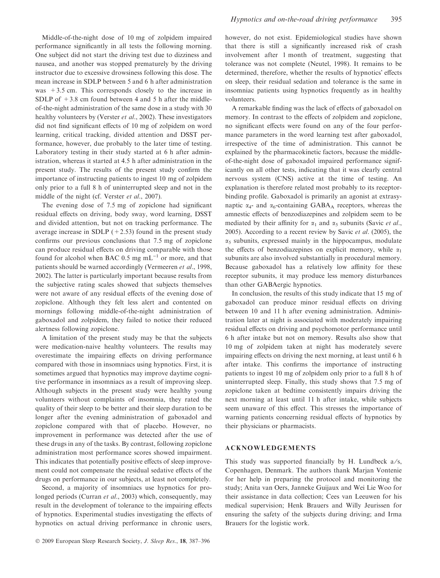Middle-of-the-night dose of 10 mg of zolpidem impaired performance significantly in all tests the following morning. One subject did not start the driving test due to dizziness and nausea, and another was stopped prematurely by the driving instructor due to excessive drowsiness following this dose. The mean increase in SDLP between 5 and 6 h after administration was +3.5 cm. This corresponds closely to the increase in SDLP of  $+3.8$  cm found between 4 and 5 h after the middleof-the-night administration of the same dose in a study with 30 healthy volunteers by (Verster et al., 2002). These investigators did not find significant effects of 10 mg of zolpidem on word learning, critical tracking, divided attention and DSST performance, however, due probably to the later time of testing. Laboratory testing in their study started at 6 h after administration, whereas it started at 4.5 h after administration in the present study. The results of the present study confirm the importance of instructing patients to ingest 10 mg of zolpidem only prior to a full 8 h of uninterrupted sleep and not in the middle of the night (cf. Verster et al., 2007).

The evening dose of 7.5 mg of zopiclone had significant residual effects on driving, body sway, word learning, DSST and divided attention, but not on tracking performance. The average increase in SDLP  $(+2.53)$  found in the present study confirms our previous conclusions that 7.5 mg of zopiclone can produce residual effects on driving comparable with those found for alcohol when BAC 0.5 mg  $mL^{-1}$  or more, and that patients should be warned accordingly (Vermeeren et al., 1998, 2002). The latter is particularly important because results from the subjective rating scales showed that subjects themselves were not aware of any residual effects of the evening dose of zopiclone. Although they felt less alert and contented on mornings following middle-of-the-night administration of gaboxadol and zolpidem, they failed to notice their reduced alertness following zopiclone.

A limitation of the present study may be that the subjects were medication-naive healthy volunteers. The results may overestimate the impairing effects on driving performance compared with those in insomniacs using hypnotics. First, it is sometimes argued that hypnotics may improve daytime cognitive performance in insomniacs as a result of improving sleep. Although subjects in the present study were healthy young volunteers without complaints of insomnia, they rated the quality of their sleep to be better and their sleep duration to be longer after the evening administration of gaboxadol and zopiclone compared with that of placebo. However, no improvement in performance was detected after the use of these drugs in any of the tasks. By contrast, following zopiclone administration most performance scores showed impairment. This indicates that potentially positive effects of sleep improvement could not compensate the residual sedative effects of the drugs on performance in our subjects, at least not completely.

Second, a majority of insomniacs use hypnotics for prolonged periods (Curran et al., 2003) which, consequently, may result in the development of tolerance to the impairing effects of hypnotics. Experimental studies investigating the effects of hypnotics on actual driving performance in chronic users, however, do not exist. Epidemiological studies have shown that there is still a significantly increased risk of crash involvement after 1 month of treatment, suggesting that tolerance was not complete (Neutel, 1998). It remains to be determined, therefore, whether the results of hypnotics' effects on sleep, their residual sedation and tolerance is the same in insomniac patients using hypnotics frequently as in healthy volunteers.

A remarkable finding was the lack of effects of gaboxadol on memory. In contrast to the effects of zolpidem and zopiclone, no significant effects were found on any of the four performance parameters in the word learning test after gaboxadol, irrespective of the time of administration. This cannot be explained by the pharmacokinetic factors, because the middleof-the-night dose of gaboxadol impaired performance significantly on all other tests, indicating that it was clearly central nervous system (CNS) active at the time of testing. An explanation is therefore related most probably to its receptorbinding profile. Gaboxadol is primarily an agonist at extrasynaptic  $\alpha_{4}$ - and  $\alpha_{6}$ -containing GABA<sub>A</sub> receptors, whereas the amnestic effects of benzodiazepines and zolpidem seem to be mediated by their affinity for  $\alpha_1$  and  $\alpha_5$  subunits (Savic *et al.*, 2005). According to a recent review by Savic et al. (2005), the  $\alpha_5$  subunits, expressed mainly in the hippocampus, modulate the effects of benzodiazepines on explicit memory, while  $\alpha_1$ subunits are also involved substantially in procedural memory. Because gaboxadol has a relatively low affinity for these receptor subunits, it may produce less memory disturbances than other GABAergic hypnotics.

In conclusion, the results of this study indicate that 15 mg of gaboxadol can produce minor residual effects on driving between 10 and 11 h after evening administration. Administration later at night is associated with moderately impairing residual effects on driving and psychomotor performance until 6 h after intake but not on memory. Results also show that 10 mg of zolpidem taken at night has moderately severe impairing effects on driving the next morning, at least until 6 h after intake. This confirms the importance of instructing patients to ingest 10 mg of zolpidem only prior to a full 8 h of uninterrupted sleep. Finally, this study shows that 7.5 mg of zopiclone taken at bedtime consistently impairs driving the next morning at least until 11 h after intake, while subjects seem unaware of this effect. This stresses the importance of warning patients concerning residual effects of hypnotics by their physicians or pharmacists.

# ACKNOWLEDGEMENTS

This study was supported financially by H. Lundbeck  $a/s$ , Copenhagen, Denmark. The authors thank Marjan Vontenie for her help in preparing the protocol and monitoring the study; Anita van Oers, Janneke Guijaux and Wei Lie Woo for their assistance in data collection; Cees van Leeuwen for his medical supervision; Henk Brauers and Willy Jeurissen for ensuring the safety of the subjects during driving; and Irma Brauers for the logistic work.